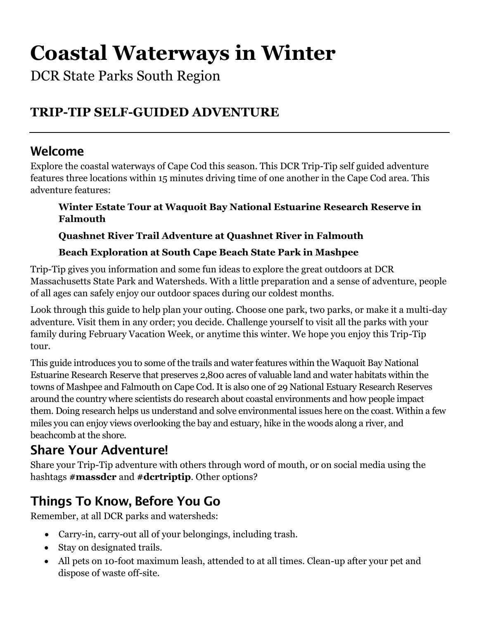# **Coastal Waterways in Winter**

DCR State Parks South Region

# **TRIP-TIP SELF-GUIDED ADVENTURE**

## Welcome

Explore the coastal waterways of Cape Cod this season. This DCR Trip-Tip self guided adventure features three locations within 15 minutes driving time of one another in the Cape Cod area. This adventure features:

**Winter Estate Tour at Waquoit Bay National Estuarine Research Reserve in Falmouth**

**Quashnet River Trail Adventure at Quashnet River in Falmouth**

#### **Beach Exploration at South Cape Beach State Park in Mashpee**

Trip-Tip gives you information and some fun ideas to explore the great outdoors at DCR Massachusetts State Park and Watersheds. With a little preparation and a sense of adventure, people of all ages can safely enjoy our outdoor spaces during our coldest months.

Look through this guide to help plan your outing. Choose one park, two parks, or make it a multi-day adventure. Visit them in any order; you decide. Challenge yourself to visit all the parks with your family during February Vacation Week, or anytime this winter. We hope you enjoy this Trip-Tip tour.

This guide introduces you to some of the trails and water features within the Waquoit Bay National Estuarine Research Reserve that preserves 2,800 acres of valuable land and water habitats within the towns of Mashpee and Falmouth on Cape Cod. It is also one of 29 National Estuary Research Reserves around the country where scientists do research about coastal environments and how people impact them. Doing research helps us understand and solve environmental issues here on the coast. Within a few miles you can enjoy views overlooking the bay and estuary, hike in the woods along a river, and beachcomb at the shore.

# Share Your Adventure!

Share your Trip-Tip adventure with others through word of mouth, or on social media using the hashtags **#massdcr** and **#dcrtriptip**. Other options?

# Things To Know, Before You Go

Remember, at all DCR parks and watersheds:

- Carry-in, carry-out all of your belongings, including trash.
- Stay on designated trails.
- All pets on 10-foot maximum leash, attended to at all times. Clean-up after your pet and dispose of waste off-site.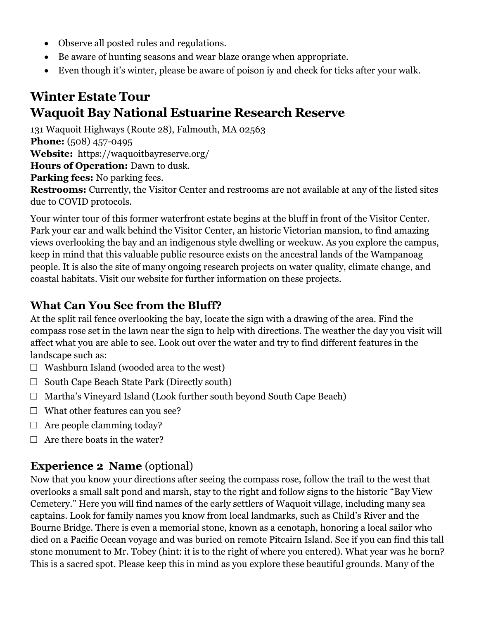- Observe all posted rules and regulations.
- Be aware of hunting seasons and wear blaze orange when appropriate.
- Even though it's winter, please be aware of poison iy and check for ticks after your walk.

## **Winter Estate Tour Waquoit Bay National Estuarine Research Reserve**

131 Waquoit Highways (Route 28), Falmouth, MA 02563

**Phone:** (508) 457-0495

**Website:** https://waquoitbayreserve.org/

**Hours of Operation:** Dawn to dusk.

**Parking fees:** No parking fees.

**Restrooms:** Currently, the Visitor Center and restrooms are not available at any of the listed sites due to COVID protocols.

Your winter tour of this former waterfront estate begins at the bluff in front of the Visitor Center. Park your car and walk behind the Visitor Center, an historic Victorian mansion, to find amazing views overlooking the bay and an indigenous style dwelling or weekuw. As you explore the campus, keep in mind that this valuable public resource exists on the ancestral lands of the Wampanoag people. It is also the site of many ongoing research projects on water quality, climate change, and coastal habitats. Visit our website for further information on these projects.

#### **What Can You See from the Bluff?**

At the split rail fence overlooking the bay, locate the sign with a drawing of the area. Find the compass rose set in the lawn near the sign to help with directions. The weather the day you visit will affect what you are able to see. Look out over the water and try to find different features in the landscape such as:

- $\Box$  Washburn Island (wooded area to the west)
- $\Box$  South Cape Beach State Park (Directly south)
- $\Box$  Martha's Vineyard Island (Look further south beyond South Cape Beach)
- $\Box$  What other features can you see?
- $\Box$  Are people clamming today?
- $\Box$  Are there boats in the water?

#### **Experience 2 Name** (optional)

Now that you know your directions after seeing the compass rose, follow the trail to the west that overlooks a small salt pond and marsh, stay to the right and follow signs to the historic "Bay View Cemetery." Here you will find names of the early settlers of Waquoit village, including many sea captains. Look for family names you know from local landmarks, such as Child's River and the Bourne Bridge. There is even a memorial stone, known as a cenotaph, honoring a local sailor who died on a Pacific Ocean voyage and was buried on remote Pitcairn Island. See if you can find this tall stone monument to Mr. Tobey (hint: it is to the right of where you entered). What year was he born? This is a sacred spot. Please keep this in mind as you explore these beautiful grounds. Many of the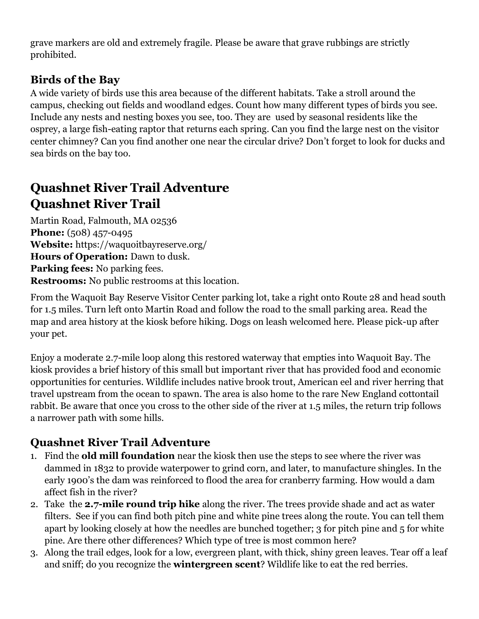grave markers are old and extremely fragile. Please be aware that grave rubbings are strictly prohibited.

#### **Birds of the Bay**

A wide variety of birds use this area because of the different habitats. Take a stroll around the campus, checking out fields and woodland edges. Count how many different types of birds you see. Include any nests and nesting boxes you see, too. They are used by seasonal residents like the osprey, a large fish-eating raptor that returns each spring. Can you find the large nest on the visitor center chimney? Can you find another one near the circular drive? Don't forget to look for ducks and sea birds on the bay too.

## **Quashnet River Trail Adventure Quashnet River Trail**

Martin Road, Falmouth, MA 02536 **Phone:** (508) 457-0495 **Website:** https://waquoitbayreserve.org/ **Hours of Operation:** Dawn to dusk. **Parking fees:** No parking fees. **Restrooms:** No public restrooms at this location.

From the Waquoit Bay Reserve Visitor Center parking lot, take a right onto Route 28 and head south for 1.5 miles. Turn left onto Martin Road and follow the road to the small parking area. Read the map and area history at the kiosk before hiking. Dogs on leash welcomed here. Please pick-up after your pet.

Enjoy a moderate 2.7-mile loop along this restored waterway that empties into Waquoit Bay. The kiosk provides a brief history of this small but important river that has provided food and economic opportunities for centuries. Wildlife includes native brook trout, American eel and river herring that travel upstream from the ocean to spawn. The area is also home to the rare New England cottontail rabbit. Be aware that once you cross to the other side of the river at 1.5 miles, the return trip follows a narrower path with some hills.

#### **Quashnet River Trail Adventure**

- 1. Find the **old mill foundation** near the kiosk then use the steps to see where the river was dammed in 1832 to provide waterpower to grind corn, and later, to manufacture shingles. In the early 1900's the dam was reinforced to flood the area for cranberry farming. How would a dam affect fish in the river?
- 2. Take the **2.7-mile round trip hike** along the river. The trees provide shade and act as water filters. See if you can find both pitch pine and white pine trees along the route. You can tell them apart by looking closely at how the needles are bunched together; 3 for pitch pine and 5 for white pine. Are there other differences? Which type of tree is most common here?
- 3. Along the trail edges, look for a low, evergreen plant, with thick, shiny green leaves. Tear off a leaf and sniff; do you recognize the **wintergreen scent**? Wildlife like to eat the red berries.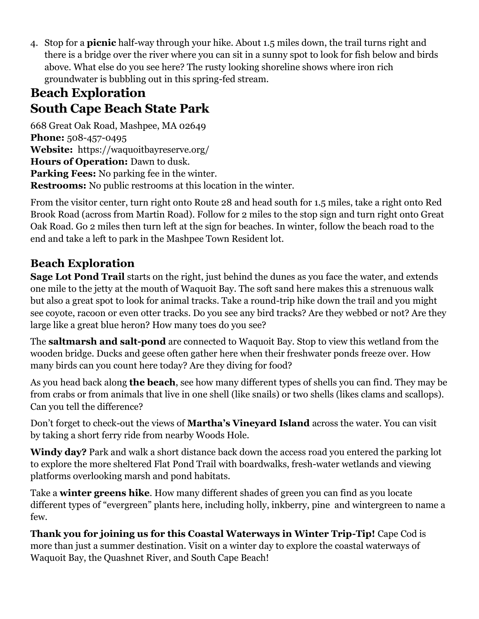4. Stop for a **picnic** half-way through your hike. About 1.5 miles down, the trail turns right and there is a bridge over the river where you can sit in a sunny spot to look for fish below and birds above. What else do you see here? The rusty looking shoreline shows where iron rich groundwater is bubbling out in this spring-fed stream.

## **Beach Exploration South Cape Beach State Park**

668 Great Oak Road, Mashpee, MA 02649 **Phone:** 508-457-0495 **Website:** https://waquoitbayreserve.org/ **Hours of Operation:** Dawn to dusk. **Parking Fees:** No parking fee in the winter. **Restrooms:** No public restrooms at this location in the winter.

From the visitor center, turn right onto Route 28 and head south for 1.5 miles, take a right onto Red Brook Road (across from Martin Road). Follow for 2 miles to the stop sign and turn right onto Great Oak Road. Go 2 miles then turn left at the sign for beaches. In winter, follow the beach road to the end and take a left to park in the Mashpee Town Resident lot.

## **Beach Exploration**

**Sage Lot Pond Trail** starts on the right, just behind the dunes as you face the water, and extends one mile to the jetty at the mouth of Waquoit Bay. The soft sand here makes this a strenuous walk but also a great spot to look for animal tracks. Take a round-trip hike down the trail and you might see coyote, racoon or even otter tracks. Do you see any bird tracks? Are they webbed or not? Are they large like a great blue heron? How many toes do you see?

The **saltmarsh and salt-pond** are connected to Waquoit Bay. Stop to view this wetland from the wooden bridge. Ducks and geese often gather here when their freshwater ponds freeze over. How many birds can you count here today? Are they diving for food?

As you head back along **the beach**, see how many different types of shells you can find. They may be from crabs or from animals that live in one shell (like snails) or two shells (likes clams and scallops). Can you tell the difference?

Don't forget to check-out the views of **Martha's Vineyard Island** across the water. You can visit by taking a short ferry ride from nearby Woods Hole.

**Windy day?** Park and walk a short distance back down the access road you entered the parking lot to explore the more sheltered Flat Pond Trail with boardwalks, fresh-water wetlands and viewing platforms overlooking marsh and pond habitats.

Take a **winter greens hike**. How many different shades of green you can find as you locate different types of "evergreen" plants here, including holly, inkberry, pine and wintergreen to name a few.

**Thank you for joining us for this Coastal Waterways in Winter Trip-Tip!** Cape Cod is more than just a summer destination. Visit on a winter day to explore the coastal waterways of Waquoit Bay, the Quashnet River, and South Cape Beach!